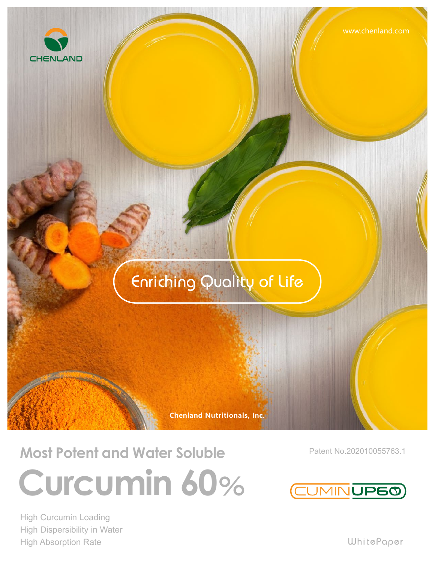#### Enriching Quality of Life

**Chenland Nutritionals, Inc.**

### **Most Potent and Water Soluble Curcumin 60**%

High Curcumin Loading High Dispersibility in Water High Absorption Rate

Patent No.202010055763.1

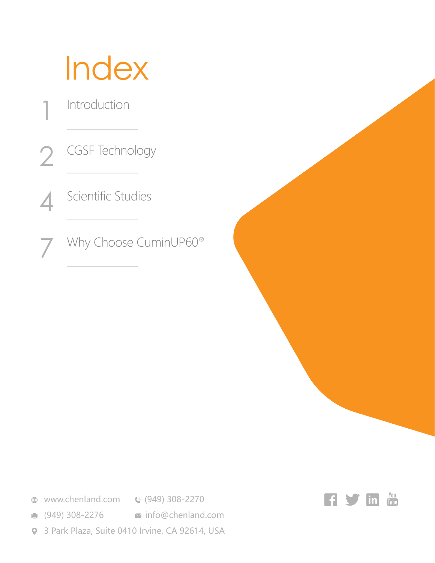## **Index**

Introduction

1

CGSF Technology 2

Scientific Studies 4

Why Choose CuminUP60® 7

**<sup>●</sup>** www.chenland.com **©** (949) 308-2270

**■ (949) 308-2276 info@chenland.com** 

3 Park Plaza, Suite 0410 Irvine, CA 92614, USA